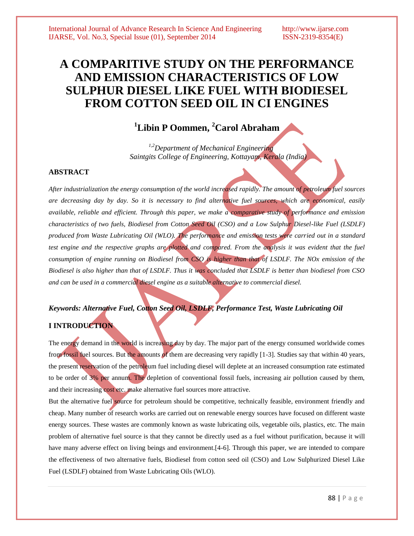# **A COMPARITIVE STUDY ON THE PERFORMANCE AND EMISSION CHARACTERISTICS OF LOW SULPHUR DIESEL LIKE FUEL WITH BIODIESEL FROM COTTON SEED OIL IN CI ENGINES**

# **<sup>1</sup>Libin P Oommen, <sup>2</sup>Carol Abraham**

*1,2Department of Mechanical Engineering Saintgits College of Engineering, Kottayam, Kerala (India)*

# **ABSTRACT**

*After industrialization the energy consumption of the world increased rapidly. The amount of petroleum fuel sources are decreasing day by day. So it is necessary to find alternative fuel sources, which are economical, easily available, reliable and efficient. Through this paper, we make a comparative study of performance and emission characteristics of two fuels, Biodiesel from Cotton Seed Oil (CSO) and a Low Sulphur Diesel-like Fuel (LSDLF) produced from Waste Lubricating Oil (WLO). The performance and emission tests were carried out in a standard test engine and the respective graphs are plotted and compared. From the analysis it was evident that the fuel consumption of engine running on Biodiesel from CSO is higher than that of LSDLF. The NOx emission of the Biodiesel is also higher than that of LSDLF. Thus it was concluded that LSDLF is better than biodiesel from CSO and can be used in a commercial diesel engine as a suitable alternative to commercial diesel.*

# *Keywords: Alternative Fuel, Cotton Seed Oil, LSDLF, Performance Test, Waste Lubricating Oil*

# **I INTRODUCTION**

The energy demand in the world is increasing day by day. The major part of the energy consumed worldwide comes from fossil fuel sources. But the amounts of them are decreasing very rapidly [1-3]. Studies say that within 40 years, the present reservation of the petroleum fuel including diesel will deplete at an increased consumption rate estimated to be order of 3% per annum. The depletion of conventional fossil fuels, increasing air pollution caused by them, and their increasing cost etc. make alternative fuel sources more attractive.

But the alternative fuel source for petroleum should be competitive, technically feasible, environment friendly and cheap. Many number of research works are carried out on renewable energy sources have focused on different waste energy sources. These wastes are commonly known as waste lubricating oils, vegetable oils, plastics, etc. The main problem of alternative fuel source is that they cannot be directly used as a fuel without purification, because it will have many adverse effect on living beings and environment. [4-6]. Through this paper, we are intended to compare the effectiveness of two alternative fuels, Biodiesel from cotton seed oil (CSO) and Low Sulphurized Diesel Like Fuel (LSDLF) obtained from Waste Lubricating Oils (WLO).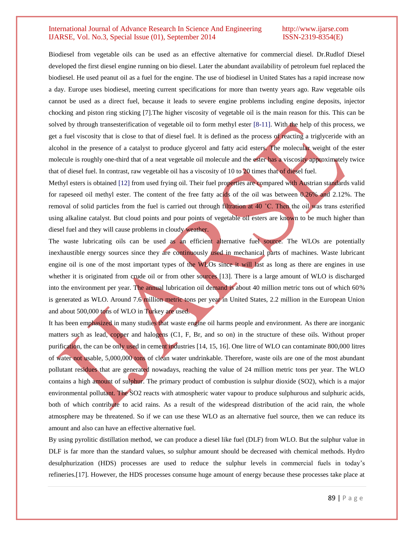Biodiesel from vegetable oils can be used as an effective alternative for commercial diesel. Dr.Rudlof Diesel developed the first diesel engine running on bio diesel. Later the abundant availability of petroleum fuel replaced the biodiesel. He used peanut oil as a fuel for the engine. The use of biodiesel in United States has a rapid increase now a day. Europe uses biodiesel, meeting current specifications for more than twenty years ago. Raw vegetable oils cannot be used as a direct fuel, because it leads to severe engine problems including engine deposits, injector chocking and piston ring sticking [7].The higher viscosity of vegetable oil is the main reason for this. This can be solved by through transesterification of vegetable oil to form methyl ester [8-11]. With the help of this process, we get a fuel viscosity that is close to that of diesel fuel. It is defined as the process of reacting a triglyceride with an alcohol in the presence of a catalyst to produce glycerol and fatty acid esters. The molecular weight of the ester molecule is roughly one-third that of a neat vegetable oil molecule and the ester has a viscosity approximately twice that of diesel fuel. In contrast, raw vegetable oil has a viscosity of 10 to 20 times that of diesel fuel.

Methyl esters is obtained [12] from used frying oil. Their fuel properties are compared with Austrian standards valid for rapeseed oil methyl ester. The content of the free fatty acids of the oil was between 0.26% and 2.12%. The removal of solid particles from the fuel is carried out through filtration at 40 ˚C. Then the oil was trans esterified using alkaline catalyst. But cloud points and pour points of vegetable oil esters are known to be much higher than diesel fuel and they will cause problems in cloudy weather.

The waste lubricating oils can be used as an efficient alternative fuel source. The WLOs are potentially inexhaustible energy sources since they are continuously used in mechanical parts of machines. Waste lubricant engine oil is one of the most important types of the WLOs since it will last as long as there are engines in use whether it is originated from crude oil or from other sources [13]. There is a large amount of WLO is discharged into the environment per year. The annual lubrication oil demand is about 40 million metric tons out of which 60% is generated as WLO. Around 7.6 million metric tons per year in United States, 2.2 million in the European Union and about 500,000 tons of WLO in Turkey are used.

It has been emphasized in many studies that waste engine oil harms people and environment. As there are inorganic matters such as lead, copper and halogens (C1, F, Br, and so on) in the structure of these oils. Without proper purification, the can be only used in cement industries [14, 15, 16]. One litre of WLO can contaminate 800,000 litres of water not usable, 5,000,000 tons of clean water undrinkable. Therefore, waste oils are one of the most abundant pollutant residues that are generated nowadays, reaching the value of 24 million metric tons per year. The WLO contains a high amount of sulphur. The primary product of combustion is sulphur dioxide (SO2), which is a major environmental pollutant. The SO2 reacts with atmospheric water vapour to produce sulphurous and sulphuric acids, both of which contribute to acid rains. As a result of the widespread distribution of the acid rain, the whole atmosphere may be threatened. So if we can use these WLO as an alternative fuel source, then we can reduce its amount and also can have an effective alternative fuel.

By using pyrolitic distillation method, we can produce a diesel like fuel (DLF) from WLO. But the sulphur value in DLF is far more than the standard values, so sulphur amount should be decreased with chemical methods. Hydro desulphurization (HDS) processes are used to reduce the sulphur levels in commercial fuels in today's refineries.[17]. However, the HDS processes consume huge amount of energy because these processes take place at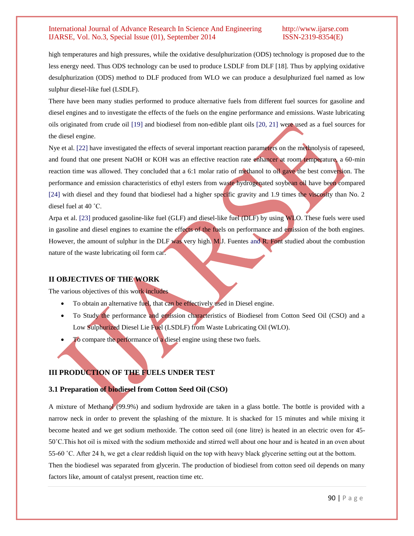high temperatures and high pressures, while the oxidative desulphurization (ODS) technology is proposed due to the less energy need. Thus ODS technology can be used to produce LSDLF from DLF [18]. Thus by applying oxidative desulphurization (ODS) method to DLF produced from WLO we can produce a desulphurized fuel named as low sulphur diesel-like fuel (LSDLF).

There have been many studies performed to produce alternative fuels from different fuel sources for gasoline and diesel engines and to investigate the effects of the fuels on the engine performance and emissions. Waste lubricating oils originated from crude oil [19] and biodiesel from non-edible plant oils [20, 21] were used as a fuel sources for the diesel engine.

Nye et al. [22] have investigated the effects of several important reaction parameters on the methnolysis of rapeseed, and found that one present NaOH or KOH was an effective reaction rate enhancer at room temperature, a 60-min reaction time was allowed. They concluded that a 6:1 molar ratio of methanol to oil gave the best conversion. The performance and emission characteristics of ethyl esters from waste hydrogenated soybean oil have been compared [24] with diesel and they found that biodiesel had a higher specific gravity and 1.9 times the viscosity than No. 2 diesel fuel at 40 ˚C.

Arpa et al. [23] produced gasoline-like fuel (GLF) and diesel-like fuel (DLF) by using WLO. These fuels were used in gasoline and diesel engines to examine the effects of the fuels on performance and emission of the both engines. However, the amount of sulphur in the DLF was very high. M.J. Fuentes and R. Font studied about the combustion nature of the waste lubricating oil form car.

# **II OBJECTIVES OF THE WORK**

The various objectives of this work includes

- To obtain an alternative fuel, that can be effectively used in Diesel engine.
- To Study the performance and emission characteristics of Biodiesel from Cotton Seed Oil (CSO) and a Low Sulphurized Diesel Lie Fuel (LSDLF) from Waste Lubricating Oil (WLO).
- To compare the performance of a diesel engine using these two fuels.

# **III PRODUCTION OF THE FUELS UNDER TEST**

# **3.1 Preparation of biodiesel from Cotton Seed Oil (CSO)**

A mixture of Methanol (99.9%) and sodium hydroxide are taken in a glass bottle. The bottle is provided with a narrow neck in order to prevent the splashing of the mixture. It is shacked for 15 minutes and while mixing it become heated and we get sodium methoxide. The cotton seed oil (one litre) is heated in an electric oven for 45- 50˚C.This hot oil is mixed with the sodium methoxide and stirred well about one hour and is heated in an oven about 55-60 ˚C. After 24 h, we get a clear reddish liquid on the top with heavy black glycerine setting out at the bottom. Then the biodiesel was separated from glycerin. The production of biodiesel from cotton seed oil depends on many factors like, amount of catalyst present, reaction time etc.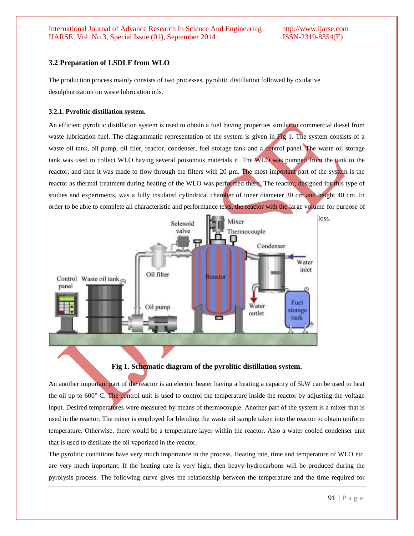# **3.2 Preparation of LSDLF from WLO**

The production process mainly consists of two processes, pyrolitic distillation followed by oxidative desulphurization on waste lubrication oils.

# **3.2.1. Pyrolitic distillation system.**

An efficient pyrolitic distillation system is used to obtain a fuel having properties similar to commercial diesel from waste lubrication fuel. The diagrammatic representation of the system is given in Fig 1. The system consists of a waste oil tank, oil pump, oil filer, reactor, condenser, fuel storage tank and a control panel. The waste oil storage tank was used to collect WLO having several poisonous materials it. The WLO was pumped from the tank to the reactor, and then it was made to flow through the filters with 20 µm. The most important part of the system is the reactor as thermal treatment during heating of the WLO was performed there. The reactor, designed for this type of studies and experiments, was a fully insulated cylindrical chamber of inner diameter 30 cm and height 40 cm. In order to be able to complete all characteristic and performance tests, the reactor with the large volume for purpose of



**Fig 1. Schematic diagram of the pyrolitic distillation system.**

An another important part of the reactor is an electric heater having a heating a capacity of 5kW can be used to heat the oil up to 600° C. The control unit is used to control the temperature inside the reactor by adjusting the voltage input. Desired temperatures were measured by means of thermocouple. Another part of the system is a mixer that is used in the reactor. The mixer is employed for blending the waste oil sample taken into the reactor to obtain uniform temperature. Otherwise, there would be a temperature layer within the reactor. Also a water cooled condenser unit that is used to distillate the oil vaporized in the reactor.

The pyrolitic conditions have very much importance in the process. Heating rate, time and temperature of WLO etc. are very much important. If the heating rate is very high, then heavy hydrocarbons will be produced during the pyrolysis process. The following curve gives the relationship between the temperature and the time required for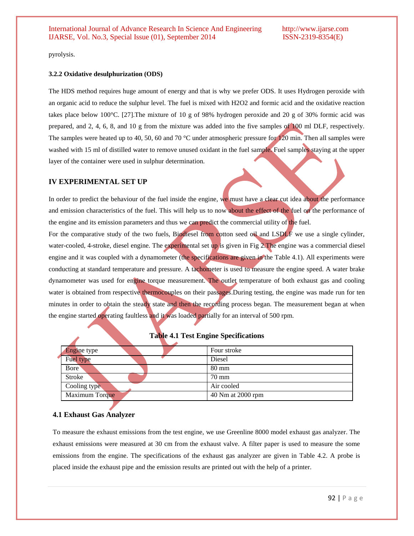pyrolysis.

#### **3.2.2 Oxidative desulphurization (ODS)**

The HDS method requires huge amount of energy and that is why we prefer ODS. It uses Hydrogen peroxide with an organic acid to reduce the sulphur level. The fuel is mixed with H2O2 and formic acid and the oxidative reaction takes place below 100°C. [27].The mixture of 10 g of 98% hydrogen peroxide and 20 g of 30% formic acid was prepared, and 2, 4, 6, 8, and 10 g from the mixture was added into the five samples of 100 ml DLF, respectively. The samples were heated up to 40, 50, 60 and 70 °C under atmospheric pressure for 120 min. Then all samples were washed with 15 ml of distilled water to remove unused oxidant in the fuel sample. Fuel samples staying at the upper layer of the container were used in sulphur determination.

### **IV EXPERIMENTAL SET UP**

In order to predict the behaviour of the fuel inside the engine, we must have a clear cut idea about the performance and emission characteristics of the fuel. This will help us to now about the effect of the fuel on the performance of the engine and its emission parameters and thus we can predict the commercial utility of the fuel.

For the comparative study of the two fuels, Biodiesel from cotton seed oil and LSDLF we use a single cylinder, water-cooled, 4-stroke, diesel engine. The experimental set up is given in Fig 2. The engine was a commercial diesel engine and it was coupled with a dynamometer (the specifications are given in the Table 4.1). All experiments were conducting at standard temperature and pressure. A tachometer is used to measure the engine speed. A water brake dynamometer was used for engine torque measurement. The outlet temperature of both exhaust gas and cooling water is obtained from respective thermocouples on their passages. During testing, the engine was made run for ten minutes in order to obtain the steady state and then the recording process began. The measurement began at when the engine started operating faultless and it was loaded partially for an interval of 500 rpm.

|  | <b>Engine type</b> | Four stroke       |
|--|--------------------|-------------------|
|  | Fuel type          | Diesel            |
|  | Bore               | $80 \text{ mm}$   |
|  | <b>Stroke</b>      | $70 \text{ mm}$   |
|  | Cooling type       | Air cooled        |
|  | Maximum Torque     | 40 Nm at 2000 rpm |

#### **Table 4.1 Test Engine Specifications**

# **4.1 Exhaust Gas Analyzer**

To measure the exhaust emissions from the test engine, we use Greenline 8000 model exhaust gas analyzer. The exhaust emissions were measured at 30 cm from the exhaust valve. A filter paper is used to measure the some emissions from the engine. The specifications of the exhaust gas analyzer are given in Table 4.2. A probe is placed inside the exhaust pipe and the emission results are printed out with the help of a printer.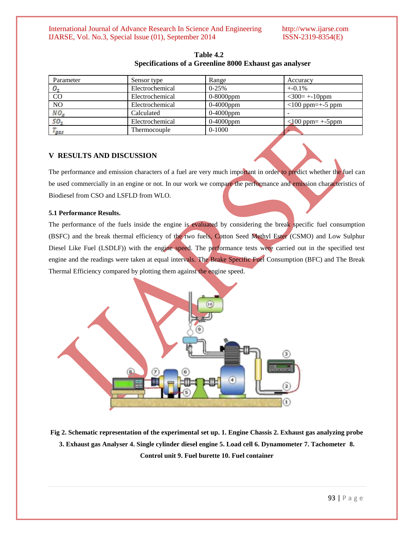| Parameter       | Sensor type     | Range        | Accuracy               |
|-----------------|-----------------|--------------|------------------------|
| O <sub>2</sub>  | Electrochemical | $0-25%$      | $+ -0.1\%$             |
| CO              | Electrochemical | $0-8000$ ppm | $<$ 300= +-10ppm       |
| NO              | Electrochemical | $0-4000$ ppm | $<$ 100 ppm=+-5 ppm    |
| NO <sub>z</sub> | Calculated      | $0-4000$ ppm |                        |
| 50.             | Electrochemical | 0-4000ppm    | $<$ 100 ppm= $+$ -5ppm |
| ags             | Thermocouple    | $0-1000$     |                        |

**Table 4.2 Specifications of a Greenline 8000 Exhaust gas analyser**

# **V RESULTS AND DISCUSSION**

The performance and emission characters of a fuel are very much important in order to predict whether the fuel can be used commercially in an engine or not. In our work we compare the performance and emission characteristics of Biodiesel from CSO and LSFLD from WLO.

### **5.1 Performance Results.**

The performance of the fuels inside the engine is evaluated by considering the break specific fuel consumption (BSFC) and the break thermal efficiency of the two fuels, Cotton Seed Methyl Ester (CSMO) and Low Sulphur Diesel Like Fuel (LSDLF)) with the engine speed. The performance tests were carried out in the specified test engine and the readings were taken at equal intervals. The Brake Specific Fuel Consumption (BFC) and The Break Thermal Efficiency compared by plotting them against the engine speed.



**Fig 2. Schematic representation of the experimental set up. 1. Engine Chassis 2. Exhaust gas analyzing probe 3. Exhaust gas Analyser 4. Single cylinder diesel engine 5. Load cell 6. Dynamometer 7. Tachometer 8. Control unit 9. Fuel burette 10. Fuel container**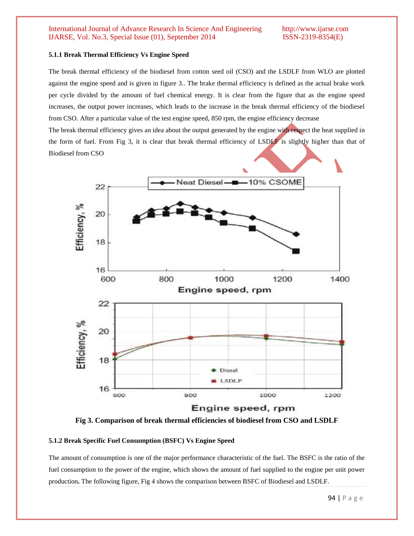### **5.1.1 Break Thermal Efficiency Vs Engine Speed**

The break thermal efficiency of the biodiesel from cotton seed oil (CSO) and the LSDLF from WLO are plotted against the engine speed and is given in figure 3.. The brake thermal efficiency is defined as the actual brake work per cycle divided by the amount of fuel chemical energy. It is clear from the figure that as the engine speed increases, the output power increases, which leads to the increase in the break thermal efficiency of the biodiesel from CSO. After a particular value of the test engine speed, 850 rpm, the engine efficiency decrease

The break thermal efficiency gives an idea about the output generated by the engine with respect the heat supplied in the form of fuel. From Fig 3, it is clear that break thermal efficiency of LSDLF is slightly higher than that of Biodiesel from CSO



**Fig 3. Comparison of break thermal efficiencies of biodiesel from CSO and LSDLF**

# **5.1.2 Break Specific Fuel Consumption (BSFC) Vs Engine Speed**

The amount of consumption is one of the major performance characteristic of the fuel. The BSFC is the ratio of the fuel consumption to the power of the engine, which shows the amount of fuel supplied to the engine per unit power production**.** The following figure, Fig 4 shows the comparison between BSFC of Biodiesel and LSDLF.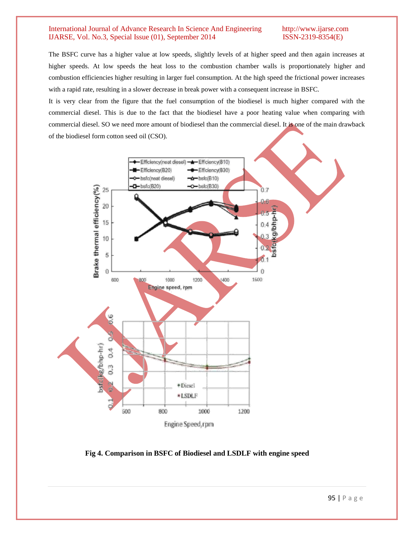The BSFC curve has a higher value at low speeds, slightly levels of at higher speed and then again increases at higher speeds. At low speeds the heat loss to the combustion chamber walls is proportionately higher and combustion efficiencies higher resulting in larger fuel consumption. At the high speed the frictional power increases with a rapid rate, resulting in a slower decrease in break power with a consequent increase in BSFC.

It is very clear from the figure that the fuel consumption of the biodiesel is much higher compared with the commercial diesel. This is due to the fact that the biodiesel have a poor heating value when comparing with commercial diesel. SO we need more amount of biodiesel than the commercial diesel. It is one of the main drawback of the biodiesel form cotton seed oil (CSO).



**Fig 4. Comparison in BSFC of Biodiesel and LSDLF with engine speed**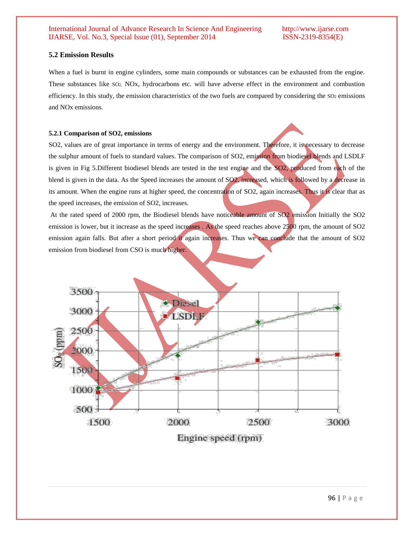# **5.2 Emission Results**

When a fuel is burnt in engine cylinders, some main compounds or substances can be exhausted from the engine. These substances like SO2, NOx, hydrocarbons etc. will have adverse effect in the environment and combustion efficiency. In this study, the emission characteristics of the two fuels are compared by considering the SO2 emissions and NOx emissions.

# **5.2.1 Comparison of SO2, emissions**

SO2, values are of great importance in terms of energy and the environment. Therefore, it is necessary to decrease the sulphur amount of fuels to standard values. The comparison of SO2, emission from biodiesel blends and LSDLF is given in Fig 5.Different biodiesel blends are tested in the test engine and the SO2, produced from each of the blend is given in the data. As the Speed increases the amount of SO2, increased, which is followed by a decrease in its amount. When the engine runs at higher speed, the concentration of SO2, again increases. Thus it is clear that as the speed increases, the emission of SO2, increases.

At the rated speed of 2000 rpm, the Biodiesel blends have noticeable amount of SO2 emission Initially the SO2 emission is lower, but it increase as the speed increases . As the speed reaches above 2500 rpm, the amount of SO2 emission again falls. But after a short period it again increases. Thus we can conclude that the amount of SO2 emission from biodiesel from CSO is much higher.



Engine speed (rpm)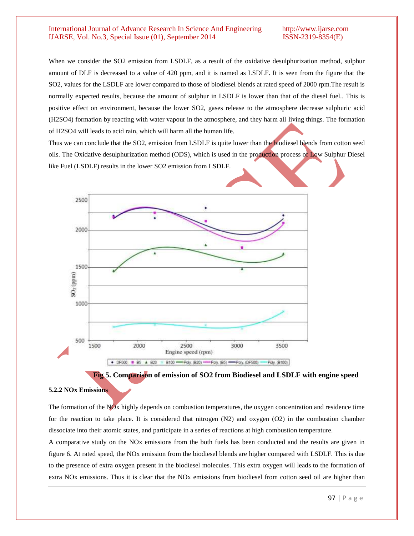When we consider the SO2 emission from LSDLF, as a result of the oxidative desulphurization method, sulphur amount of DLF is decreased to a value of 420 ppm, and it is named as LSDLF. It is seen from the figure that the SO2, values for the LSDLF are lower compared to those of biodiesel blends at rated speed of 2000 rpm.The result is normally expected results, because the amount of sulphur in LSDLF is lower than that of the diesel fuel.. This is positive effect on environment, because the lower SO2, gases release to the atmosphere decrease sulphuric acid (H2SO4) formation by reacting with water vapour in the atmosphere, and they harm all living things. The formation of H2SO4 will leads to acid rain, which will harm all the human life.

Thus we can conclude that the SO2, emission from LSDLF is quite lower than the biodiesel blends from cotton seed oils. The Oxidative desulphurization method (ODS), which is used in the production process of Low Sulphur Diesel like Fuel (LSDLF) results in the lower SO2 emission from LSDLF.





#### **5.2.2 NOx Emissions**

The formation of the NOx highly depends on combustion temperatures, the oxygen concentration and residence time for the reaction to take place. It is considered that nitrogen (N2) and oxygen (O2) in the combustion chamber dissociate into their atomic states, and participate in a series of reactions at high combustion temperature.

A comparative study on the NOx emissions from the both fuels has been conducted and the results are given in figure 6. At rated speed, the NOx emission from the biodiesel blends are higher compared with LSDLF. This is due to the presence of extra oxygen present in the biodiesel molecules. This extra oxygen will leads to the formation of extra NOx emissions. Thus it is clear that the NOx emissions from biodiesel from cotton seed oil are higher than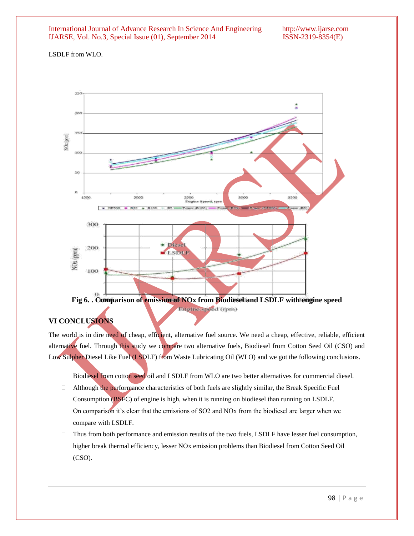LSDLF from WLO.



Engine speed (rpm)

# **VI CONCLUSIONS**

The world is in dire need of cheap, efficient, alternative fuel source. We need a cheap, effective, reliable, efficient alternative fuel. Through this study we compare two alternative fuels, Biodiesel from Cotton Seed Oil (CSO) and Low Sulpher Diesel Like Fuel (LSDLF) from Waste Lubricating Oil (WLO) and we got the following conclusions.

- □ Biodiesel from cotton seed oil and LSDLF from WLO are two better alternatives for commercial diesel.
- $\Box$  Although the performance characteristics of both fuels are slightly similar, the Break Specific Fuel Consumption (BSFC) of engine is high, when it is running on biodiesel than running on LSDLF.
- $\Box$  On comparison it's clear that the emissions of SO2 and NOx from the biodiesel are larger when we compare with LSDLF.
- $\Box$  Thus from both performance and emission results of the two fuels, LSDLF have lesser fuel consumption, higher break thermal efficiency, lesser NOx emission problems than Biodiesel from Cotton Seed Oil (CSO).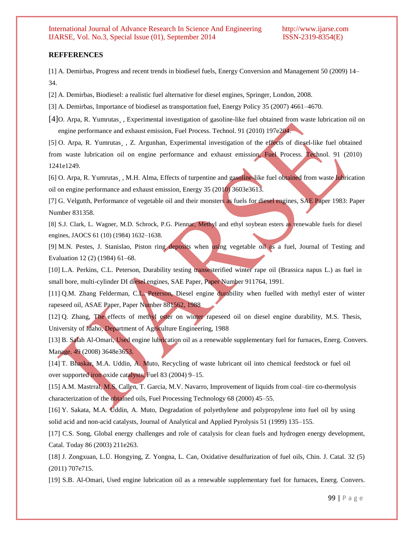### **REFFERENCES**

[1] A. Demirbas, Progress and recent trends in biodiesel fuels, Energy Conversion and Management 50 (2009) 14– 34.

[2] A. Demirbas, Biodiesel: a realistic fuel alternative for diesel engines, Springer, London, 2008.

[3] A. Demirbas, Importance of biodiesel as transportation fuel, Energy Policy 35 (2007) 4661–4670.

[4]O. Arpa, R. Yumrutas¸ , Experimental investigation of gasoline-like fuel obtained from waste lubrication oil on engine performance and exhaust emission, Fuel Process. Technol. 91 (2010) 197e204.

[5] O. Arpa, R. Yumrutas , Z. Argunhan, Experimental investigation of the effects of diesel-like fuel obtained from waste lubrication oil on engine performance and exhaust emission, Fuel Process. Technol. 91 (2010) 1241e1249.

[6] O. Arpa, R. Yumrutas, , M.H. Alma, Effects of turpentine and gasoline-like fuel obtained from waste lubrication oil on engine performance and exhaust emission, Energy 35 (2010) 3603e3613.

[7] G. Velgutth, Performance of vegetable oil and their monsters as fuels for diesel engines, SAE Paper 1983: Paper Number 831358.

[8] S.J. Clark, L. Wagner, M.D. Schrock, P.G. Piennar, Methyl and ethyl soybean esters as renewable fuels for diesel engines, JAOCS 61 (10) (1984) 1632–1638.

[9] M.N. Pestes, J. Stanislao, Piston ring deposits when using vegetable oil as a fuel, Journal of Testing and Evaluation 12 (2) (1984) 61–68.

[10] L.A. Perkins, C.L. Peterson, Durability testing transesterified winter rape oil (Brassica napus L.) as fuel in small bore, multi-cylinder DI diesel engines, SAE Paper, Paper Number 911764, 1991.

[11] Q.M. Zhang Felderman, C.L. Peterson, Diesel engine durability when fuelled with methyl ester of winter rapeseed oil, ASAE Paper, Paper Number 881562, 1988

[12] Q. Zhang, The effects of methyl ester on winter rapeseed oil on diesel engine durability, M.S. Thesis, University of Idaho, Department of Agriculture Engineering, 1988

[13] B. Salah Al-Omari, Used engine lubrication oil as a renewable supplementary fuel for furnaces, Energ. Convers. Manage. 49 (2008) 3648e3653.

[14] T. Bhaskar, M.A. Uddin, A. Muto, Recycling of waste lubricant oil into chemical feedstock or fuel oil over supported iron oxide catalysts, Fuel 83 (2004) 9–15.

[15] A.M. Mastrral, M.S. Callen, T. Garcia, M.V. Navarro, Improvement of liquids from coal–tire co-thermolysis characterization of the obtained oils, Fuel Processing Technology 68 (2000) 45–55.

[16] Y. Sakata, M.A. Uddin, A. Muto, Degradation of polyethylene and polypropylene into fuel oil by using solid acid and non-acid catalysts, Journal of Analytical and Applied Pyrolysis 51 (1999) 135–155.

[17] C.S. Song, Global energy challenges and role of catalysis for clean fuels and hydrogen energy development, Catal. Today 86 (2003) 211e263.

[18] J. Zongxuan, L.Ü. Hongying, Z. Yongna, L. Can, Oxidative desulfurization of fuel oils, Chin. J. Catal. 32 (5) (2011) 707e715.

[19] S.B. Al-Omari, Used engine lubrication oil as a renewable supplementary fuel for furnaces, Energ. Convers.